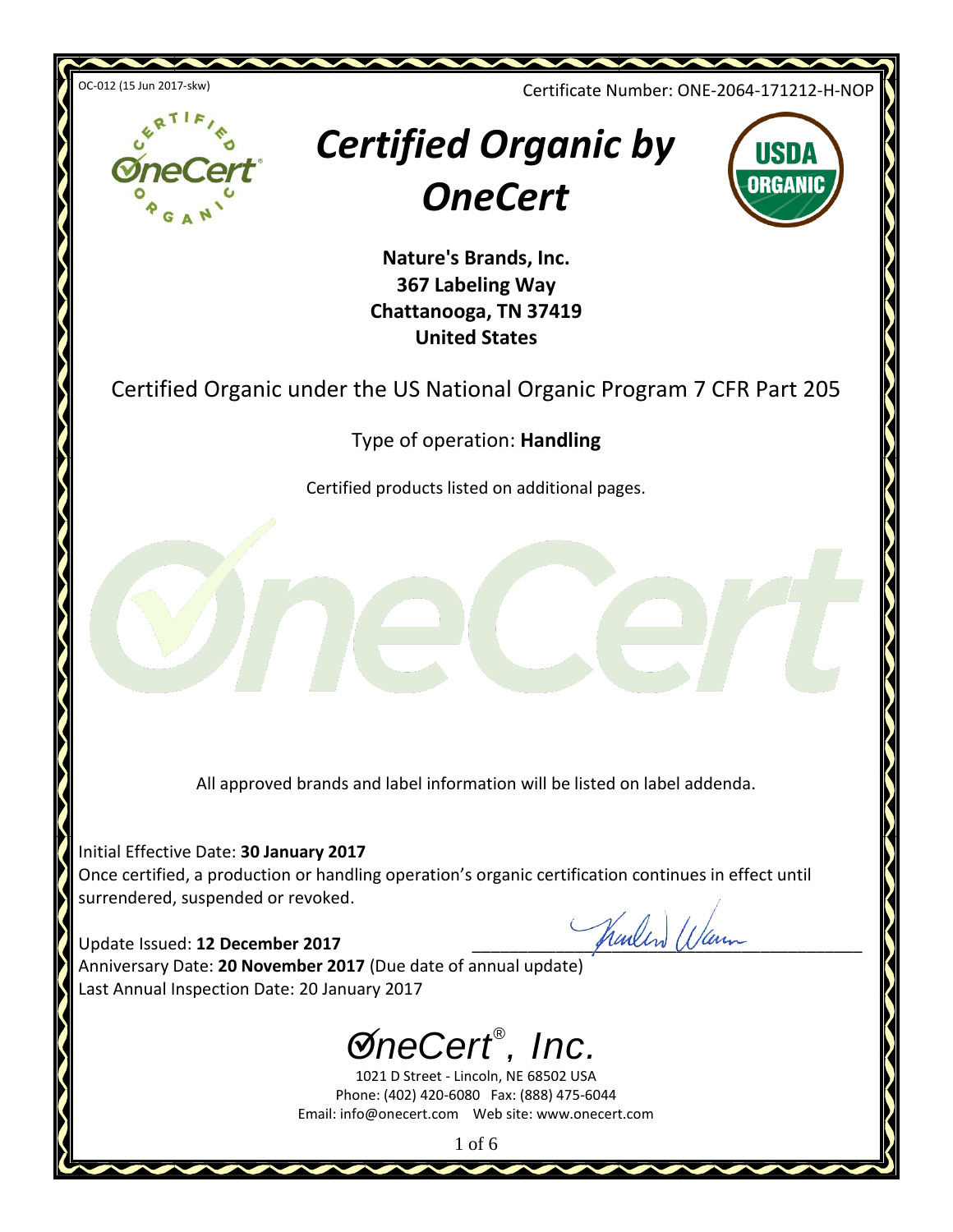

Type of operation: **Handling**

Certified products listed on additional pages.

All approved brands and label information will be listed on label addenda.

Initial Effective Date: **30 January 2017** Once certified, a production or handling operation's organic certification continues in effect until surrendered, suspended or revoked.

Update Issued: **12 December 2017** June 1994 Anniversary Date: **20 November 2017** (Due date of annual update) Last Annual Inspection Date: 20 January 2017





1021 D Street - Lincoln, NE 68502 USA Phone: (402) 420-6080 Fax: (888) 475-6044 Email: info@onecert.com Web site: www.onecert.com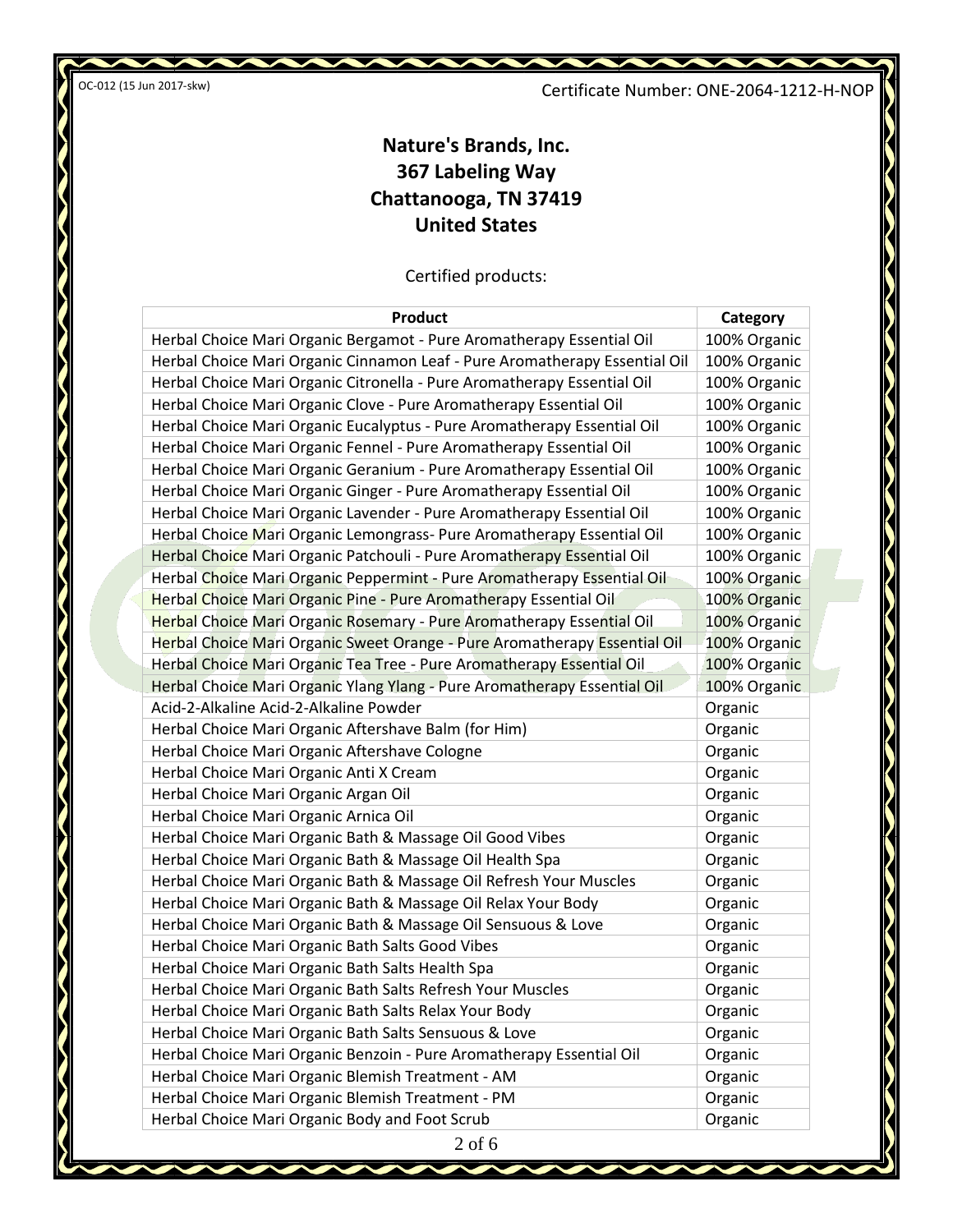Certificate Number: ONE-2064-1212-H-NOP

N

 $\overline{\phantom{a}}$ 

ł

# **Nature's Brands, Inc. 367 Labeling Way Chattanooga, TN 37419 United States**

Certified products:

| <b>Product</b>                                                             | Category     |
|----------------------------------------------------------------------------|--------------|
| Herbal Choice Mari Organic Bergamot - Pure Aromatherapy Essential Oil      | 100% Organic |
| Herbal Choice Mari Organic Cinnamon Leaf - Pure Aromatherapy Essential Oil | 100% Organic |
| Herbal Choice Mari Organic Citronella - Pure Aromatherapy Essential Oil    | 100% Organic |
| Herbal Choice Mari Organic Clove - Pure Aromatherapy Essential Oil         | 100% Organic |
| Herbal Choice Mari Organic Eucalyptus - Pure Aromatherapy Essential Oil    | 100% Organic |
| Herbal Choice Mari Organic Fennel - Pure Aromatherapy Essential Oil        | 100% Organic |
| Herbal Choice Mari Organic Geranium - Pure Aromatherapy Essential Oil      | 100% Organic |
| Herbal Choice Mari Organic Ginger - Pure Aromatherapy Essential Oil        | 100% Organic |
| Herbal Choice Mari Organic Lavender - Pure Aromatherapy Essential Oil      | 100% Organic |
| Herbal Choice Mari Organic Lemongrass- Pure Aromatherapy Essential Oil     | 100% Organic |
| Herbal Choice Mari Organic Patchouli - Pure Aromatherapy Essential Oil     | 100% Organic |
| Herbal Choice Mari Organic Peppermint - Pure Aromatherapy Essential Oil    | 100% Organic |
| Herbal Choice Mari Organic Pine - Pure Aromatherapy Essential Oil          | 100% Organic |
| Herbal Choice Mari Organic Rosemary - Pure Aromatherapy Essential Oil      | 100% Organic |
| Herbal Choice Mari Organic Sweet Orange - Pure Aromatherapy Essential Oil  | 100% Organic |
| Herbal Choice Mari Organic Tea Tree - Pure Aromatherapy Essential Oil      | 100% Organic |
| Herbal Choice Mari Organic Ylang Ylang - Pure Aromatherapy Essential Oil   | 100% Organic |
| Acid-2-Alkaline Acid-2-Alkaline Powder                                     | Organic      |
| Herbal Choice Mari Organic Aftershave Balm (for Him)                       | Organic      |
| Herbal Choice Mari Organic Aftershave Cologne                              | Organic      |
| Herbal Choice Mari Organic Anti X Cream                                    | Organic      |
| Herbal Choice Mari Organic Argan Oil                                       | Organic      |
| Herbal Choice Mari Organic Arnica Oil                                      | Organic      |
| Herbal Choice Mari Organic Bath & Massage Oil Good Vibes                   | Organic      |
| Herbal Choice Mari Organic Bath & Massage Oil Health Spa                   | Organic      |
| Herbal Choice Mari Organic Bath & Massage Oil Refresh Your Muscles         | Organic      |
| Herbal Choice Mari Organic Bath & Massage Oil Relax Your Body              | Organic      |
| Herbal Choice Mari Organic Bath & Massage Oil Sensuous & Love              | Organic      |
| Herbal Choice Mari Organic Bath Salts Good Vibes                           | Organic      |
| Herbal Choice Mari Organic Bath Salts Health Spa                           | Organic      |
| Herbal Choice Mari Organic Bath Salts Refresh Your Muscles                 | Organic      |
| Herbal Choice Mari Organic Bath Salts Relax Your Body                      | Organic      |
| Herbal Choice Mari Organic Bath Salts Sensuous & Love                      | Organic      |
| Herbal Choice Mari Organic Benzoin - Pure Aromatherapy Essential Oil       | Organic      |
| Herbal Choice Mari Organic Blemish Treatment - AM                          | Organic      |
| Herbal Choice Mari Organic Blemish Treatment - PM                          | Organic      |
| Herbal Choice Mari Organic Body and Foot Scrub                             | Organic      |
| $2 \text{ of } 6$                                                          |              |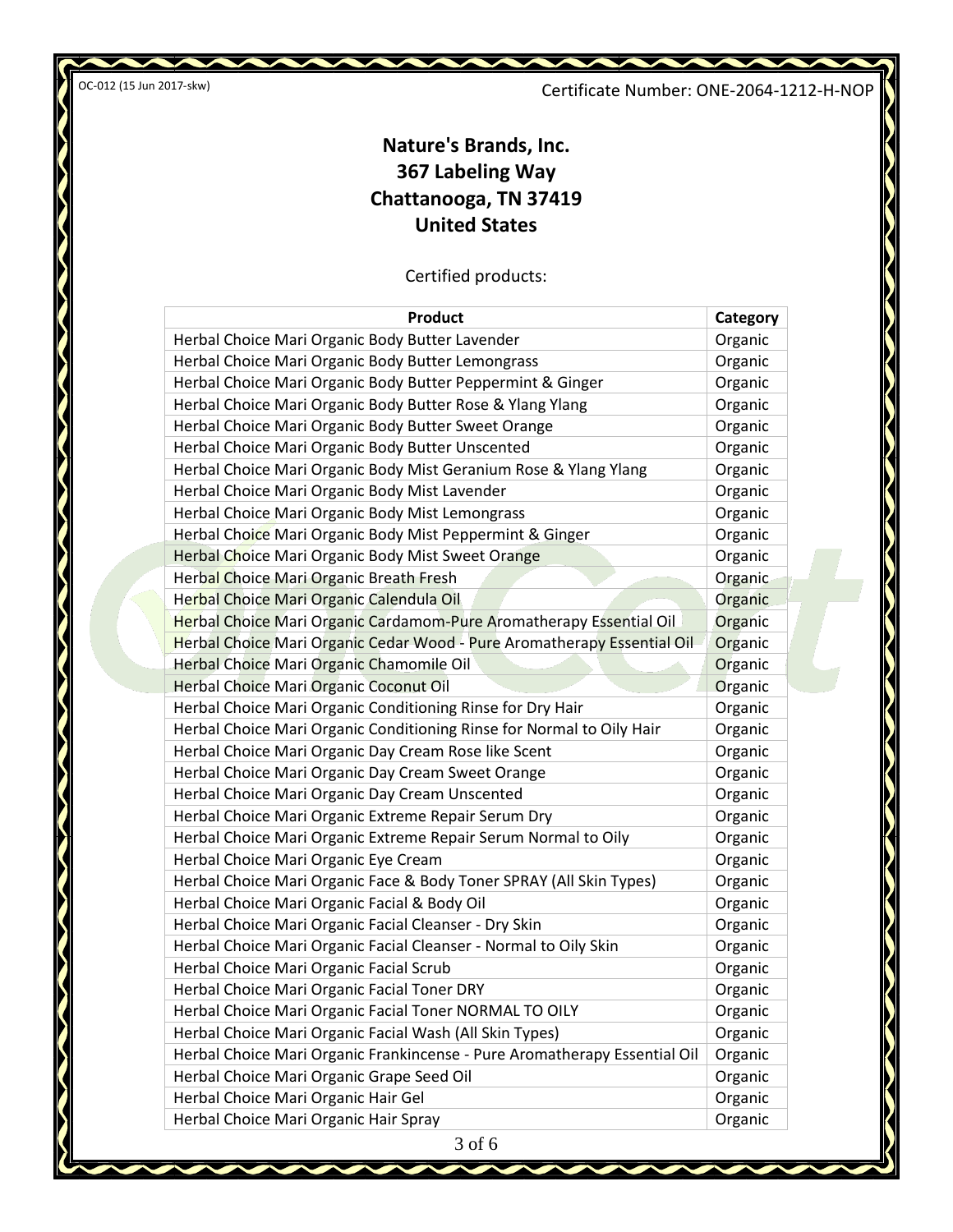Certificate Number: ONE-2064-1212-H-NOP

W

# **Nature's Brands, Inc. 367 Labeling Way Chattanooga, TN 37419 United States**

Certified products:

| <b>Product</b>                                                            | Category |
|---------------------------------------------------------------------------|----------|
| Herbal Choice Mari Organic Body Butter Lavender                           | Organic  |
| Herbal Choice Mari Organic Body Butter Lemongrass                         | Organic  |
| Herbal Choice Mari Organic Body Butter Peppermint & Ginger                | Organic  |
| Herbal Choice Mari Organic Body Butter Rose & Ylang Ylang                 | Organic  |
| Herbal Choice Mari Organic Body Butter Sweet Orange                       | Organic  |
| Herbal Choice Mari Organic Body Butter Unscented                          | Organic  |
| Herbal Choice Mari Organic Body Mist Geranium Rose & Ylang Ylang          | Organic  |
| Herbal Choice Mari Organic Body Mist Lavender                             | Organic  |
| Herbal Choice Mari Organic Body Mist Lemongrass                           | Organic  |
| Herbal Choice Mari Organic Body Mist Peppermint & Ginger                  | Organic  |
| Herbal Choice Mari Organic Body Mist Sweet Orange                         | Organic  |
| Herbal Choice Mari Organic Breath Fresh                                   | Organic  |
| Herbal Choice Mari Organic Calendula Oil                                  | Organic  |
| Herbal Choice Mari Organic Cardamom-Pure Aromatherapy Essential Oil       | Organic  |
| Herbal Choice Mari Organic Cedar Wood - Pure Aromatherapy Essential Oil   | Organic  |
| Herbal Choice Mari Organic Chamomile Oil                                  | Organic  |
| Herbal Choice Mari Organic Coconut Oil                                    | Organic  |
| Herbal Choice Mari Organic Conditioning Rinse for Dry Hair                | Organic  |
| Herbal Choice Mari Organic Conditioning Rinse for Normal to Oily Hair     | Organic  |
| Herbal Choice Mari Organic Day Cream Rose like Scent                      | Organic  |
| Herbal Choice Mari Organic Day Cream Sweet Orange                         | Organic  |
| Herbal Choice Mari Organic Day Cream Unscented                            | Organic  |
| Herbal Choice Mari Organic Extreme Repair Serum Dry                       | Organic  |
| Herbal Choice Mari Organic Extreme Repair Serum Normal to Oily            | Organic  |
| Herbal Choice Mari Organic Eye Cream                                      | Organic  |
| Herbal Choice Mari Organic Face & Body Toner SPRAY (All Skin Types)       | Organic  |
| Herbal Choice Mari Organic Facial & Body Oil                              | Organic  |
| Herbal Choice Mari Organic Facial Cleanser - Dry Skin                     | Organic  |
| Herbal Choice Mari Organic Facial Cleanser - Normal to Oily Skin          | Organic  |
| Herbal Choice Mari Organic Facial Scrub                                   | Organic  |
| Herbal Choice Mari Organic Facial Toner DRY                               | Organic  |
| Herbal Choice Mari Organic Facial Toner NORMAL TO OILY                    | Organic  |
| Herbal Choice Mari Organic Facial Wash (All Skin Types)                   | Organic  |
| Herbal Choice Mari Organic Frankincense - Pure Aromatherapy Essential Oil | Organic  |
| Herbal Choice Mari Organic Grape Seed Oil                                 | Organic  |
| Herbal Choice Mari Organic Hair Gel                                       | Organic  |
| Herbal Choice Mari Organic Hair Spray                                     | Organic  |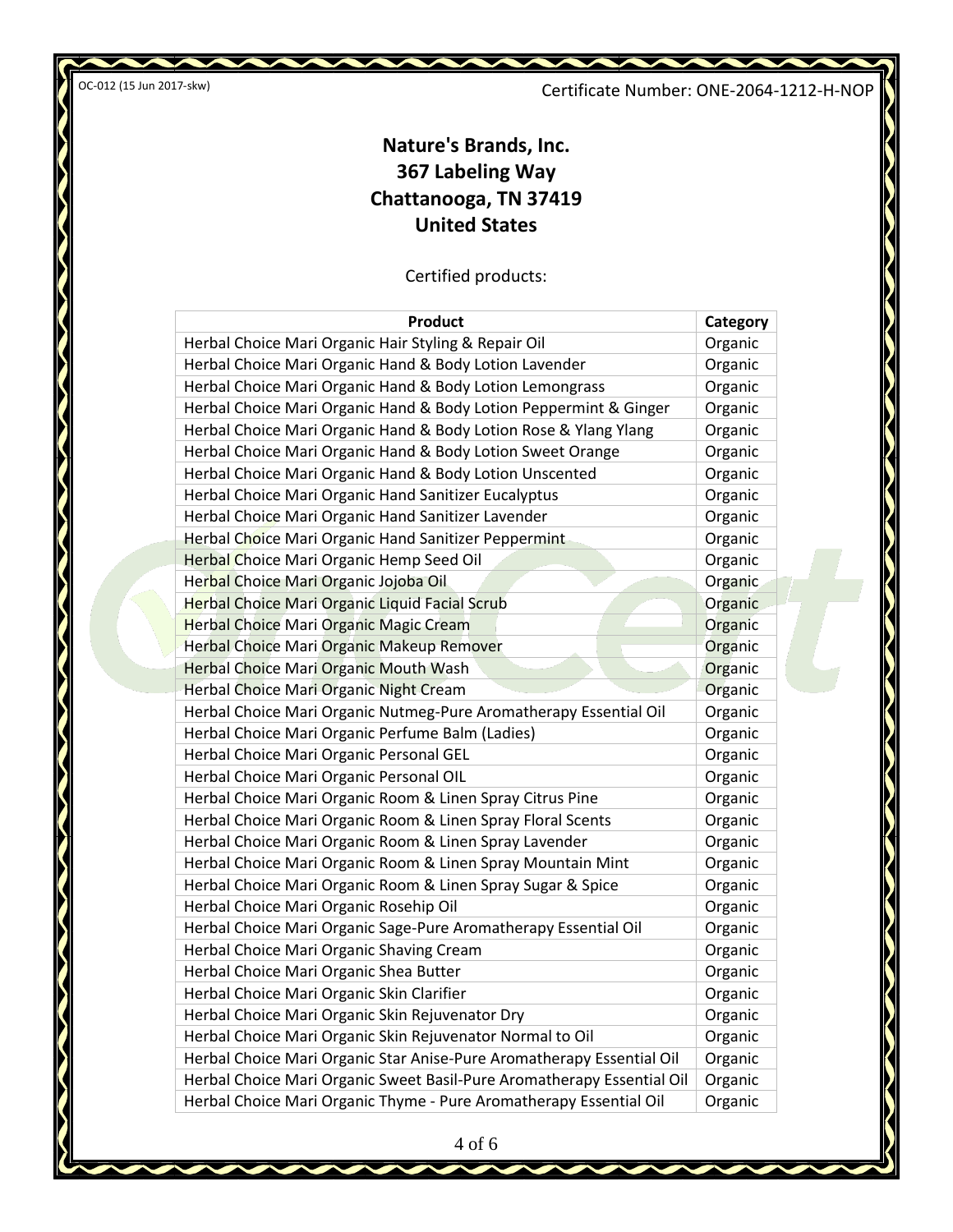Certificate Number: ONE-2064-1212-H-NOP

W

# **Nature's Brands, Inc. 367 Labeling Way Chattanooga, TN 37419 United States**

Certified products:

| <b>Product</b>                                                         | Category |
|------------------------------------------------------------------------|----------|
| Herbal Choice Mari Organic Hair Styling & Repair Oil                   | Organic  |
| Herbal Choice Mari Organic Hand & Body Lotion Lavender                 | Organic  |
| Herbal Choice Mari Organic Hand & Body Lotion Lemongrass               | Organic  |
| Herbal Choice Mari Organic Hand & Body Lotion Peppermint & Ginger      | Organic  |
| Herbal Choice Mari Organic Hand & Body Lotion Rose & Ylang Ylang       | Organic  |
| Herbal Choice Mari Organic Hand & Body Lotion Sweet Orange             | Organic  |
| Herbal Choice Mari Organic Hand & Body Lotion Unscented                | Organic  |
| Herbal Choice Mari Organic Hand Sanitizer Eucalyptus                   | Organic  |
| Herbal Choice Mari Organic Hand Sanitizer Lavender                     | Organic  |
| Herbal Choice Mari Organic Hand Sanitizer Peppermint                   | Organic  |
| Herbal Choice Mari Organic Hemp Seed Oil                               | Organic  |
| Herbal Choice Mari Organic Jojoba Oil                                  | Organic  |
| <b>Herbal Choice Mari Organic Liquid Facial Scrub</b>                  | Organic  |
| <b>Herbal Choice Mari Organic Magic Cream</b>                          | Organic  |
| Herbal Choice Mari Organic Makeup Remover                              | Organic  |
| <b>Herbal Choice Mari Organic Mouth Wash</b>                           | Organic  |
| Herbal Choice Mari Organic Night Cream                                 | Organic  |
| Herbal Choice Mari Organic Nutmeg-Pure Aromatherapy Essential Oil      | Organic  |
| Herbal Choice Mari Organic Perfume Balm (Ladies)                       | Organic  |
| Herbal Choice Mari Organic Personal GEL                                | Organic  |
| Herbal Choice Mari Organic Personal OIL                                | Organic  |
| Herbal Choice Mari Organic Room & Linen Spray Citrus Pine              | Organic  |
| Herbal Choice Mari Organic Room & Linen Spray Floral Scents            | Organic  |
| Herbal Choice Mari Organic Room & Linen Spray Lavender                 | Organic  |
| Herbal Choice Mari Organic Room & Linen Spray Mountain Mint            | Organic  |
| Herbal Choice Mari Organic Room & Linen Spray Sugar & Spice            | Organic  |
| Herbal Choice Mari Organic Rosehip Oil                                 | Organic  |
| Herbal Choice Mari Organic Sage-Pure Aromatherapy Essential Oil        | Organic  |
| Herbal Choice Mari Organic Shaving Cream                               | Organic  |
| Herbal Choice Mari Organic Shea Butter                                 | Organic  |
| Herbal Choice Mari Organic Skin Clarifier                              | Organic  |
| Herbal Choice Mari Organic Skin Rejuvenator Dry                        | Organic  |
| Herbal Choice Mari Organic Skin Rejuvenator Normal to Oil              | Organic  |
| Herbal Choice Mari Organic Star Anise-Pure Aromatherapy Essential Oil  | Organic  |
| Herbal Choice Mari Organic Sweet Basil-Pure Aromatherapy Essential Oil | Organic  |
| Herbal Choice Mari Organic Thyme - Pure Aromatherapy Essential Oil     | Organic  |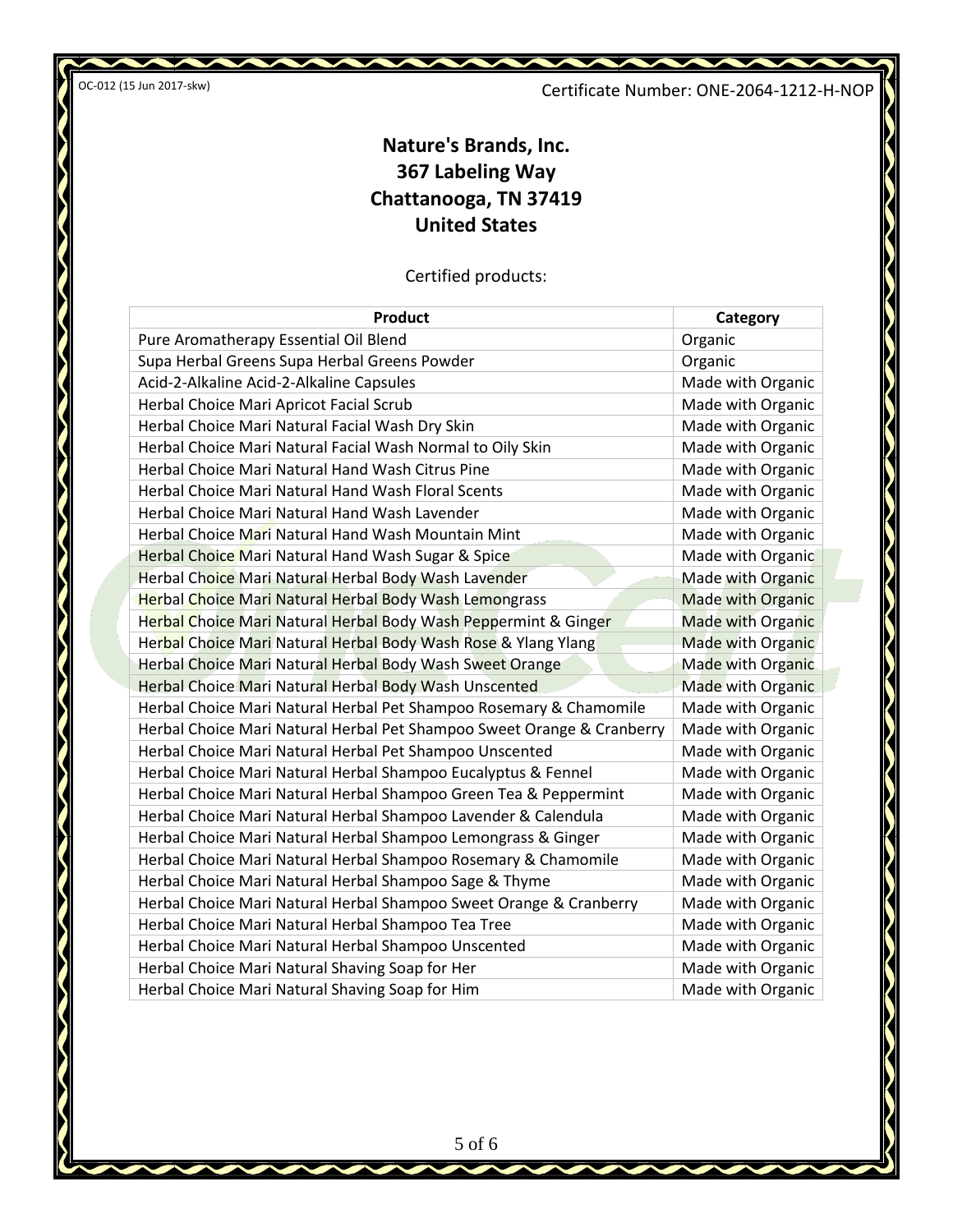Certificate Number: ONE-2064-1212-H-NOP

 $\boldsymbol{\sim}$ 

Ń

# **Nature's Brands, Inc. 367 Labeling Way Chattanooga, TN 37419 United States**

Certified products:

| <b>Product</b>                                                         | Category                 |
|------------------------------------------------------------------------|--------------------------|
| Pure Aromatherapy Essential Oil Blend                                  | Organic                  |
| Supa Herbal Greens Supa Herbal Greens Powder                           | Organic                  |
| Acid-2-Alkaline Acid-2-Alkaline Capsules                               | Made with Organic        |
| Herbal Choice Mari Apricot Facial Scrub                                | Made with Organic        |
| Herbal Choice Mari Natural Facial Wash Dry Skin                        | Made with Organic        |
| Herbal Choice Mari Natural Facial Wash Normal to Oily Skin             | Made with Organic        |
| Herbal Choice Mari Natural Hand Wash Citrus Pine                       | Made with Organic        |
| Herbal Choice Mari Natural Hand Wash Floral Scents                     | Made with Organic        |
| Herbal Choice Mari Natural Hand Wash Lavender                          | Made with Organic        |
| Herbal Choice Mari Natural Hand Wash Mountain Mint                     | Made with Organic        |
| Herbal Choice Mari Natural Hand Wash Sugar & Spice                     | Made with Organic        |
| Herbal Choice Mari Natural Herbal Body Wash Lavender                   | Made with Organic        |
| <b>Herbal Choice Mari Natural Herbal Body Wash Lemongrass</b>          | <b>Made with Organic</b> |
| Herbal Choice Mari Natural Herbal Body Wash Peppermint & Ginger        | <b>Made with Organic</b> |
| Herbal Choice Mari Natural Herbal Body Wash Rose & Ylang Ylang         | Made with Organic        |
| Herbal Choice Mari Natural Herbal Body Wash Sweet Orange               | Made with Organic        |
| Herbal Choice Mari Natural Herbal Body Wash Unscented                  | <b>Made with Organic</b> |
| Herbal Choice Mari Natural Herbal Pet Shampoo Rosemary & Chamomile     | Made with Organic        |
| Herbal Choice Mari Natural Herbal Pet Shampoo Sweet Orange & Cranberry | Made with Organic        |
| Herbal Choice Mari Natural Herbal Pet Shampoo Unscented                | Made with Organic        |
| Herbal Choice Mari Natural Herbal Shampoo Eucalyptus & Fennel          | Made with Organic        |
| Herbal Choice Mari Natural Herbal Shampoo Green Tea & Peppermint       | Made with Organic        |
| Herbal Choice Mari Natural Herbal Shampoo Lavender & Calendula         | Made with Organic        |
| Herbal Choice Mari Natural Herbal Shampoo Lemongrass & Ginger          | Made with Organic        |
| Herbal Choice Mari Natural Herbal Shampoo Rosemary & Chamomile         | Made with Organic        |
| Herbal Choice Mari Natural Herbal Shampoo Sage & Thyme                 | Made with Organic        |
| Herbal Choice Mari Natural Herbal Shampoo Sweet Orange & Cranberry     | Made with Organic        |
| Herbal Choice Mari Natural Herbal Shampoo Tea Tree                     | Made with Organic        |
| Herbal Choice Mari Natural Herbal Shampoo Unscented                    | Made with Organic        |
| Herbal Choice Mari Natural Shaving Soap for Her                        | Made with Organic        |
| Herbal Choice Mari Natural Shaving Soap for Him                        | Made with Organic        |